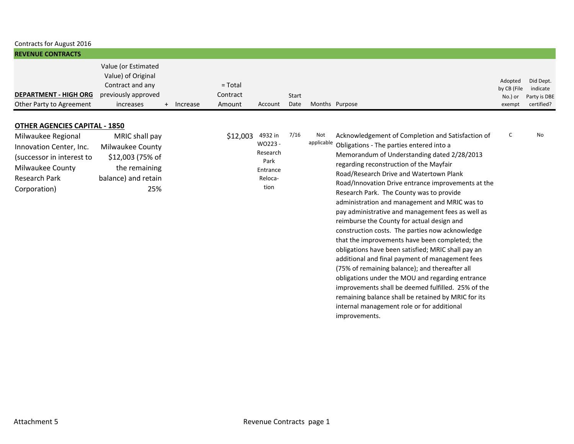| Contracts for August 2016                                                                                                              |                                                                                                              |            |                                 |                                                                      |               |                   |                                                                                                                                                                                                                                                                                                                                                                                                                                                                                                                                                                                                                                                                                                                                                                                                                                                                                                                                                                                          |                                             |                                                     |
|----------------------------------------------------------------------------------------------------------------------------------------|--------------------------------------------------------------------------------------------------------------|------------|---------------------------------|----------------------------------------------------------------------|---------------|-------------------|------------------------------------------------------------------------------------------------------------------------------------------------------------------------------------------------------------------------------------------------------------------------------------------------------------------------------------------------------------------------------------------------------------------------------------------------------------------------------------------------------------------------------------------------------------------------------------------------------------------------------------------------------------------------------------------------------------------------------------------------------------------------------------------------------------------------------------------------------------------------------------------------------------------------------------------------------------------------------------------|---------------------------------------------|-----------------------------------------------------|
| <b>REVENUE CONTRACTS</b>                                                                                                               |                                                                                                              |            |                                 |                                                                      |               |                   |                                                                                                                                                                                                                                                                                                                                                                                                                                                                                                                                                                                                                                                                                                                                                                                                                                                                                                                                                                                          |                                             |                                                     |
| <b>DEPARTMENT - HIGH ORG</b><br>Other Party to Agreement                                                                               | Value (or Estimated<br>Value) of Original<br>Contract and any<br>previously approved<br>increases            | + Increase | $= Total$<br>Contract<br>Amount | Account                                                              | Start<br>Date |                   | Months Purpose                                                                                                                                                                                                                                                                                                                                                                                                                                                                                                                                                                                                                                                                                                                                                                                                                                                                                                                                                                           | Adopted<br>by CB (File<br>No.) or<br>exempt | Did Dept.<br>indicate<br>Party is DBE<br>certified? |
| <b>OTHER AGENCIES CAPITAL - 1850</b>                                                                                                   |                                                                                                              |            |                                 |                                                                      |               |                   |                                                                                                                                                                                                                                                                                                                                                                                                                                                                                                                                                                                                                                                                                                                                                                                                                                                                                                                                                                                          |                                             |                                                     |
| Milwaukee Regional<br>Innovation Center, Inc.<br>(successor in interest to<br>Milwaukee County<br><b>Research Park</b><br>Corporation) | MRIC shall pay<br><b>Milwaukee County</b><br>\$12,003 (75% of<br>the remaining<br>balance) and retain<br>25% |            | \$12,003                        | 4932 in<br>WO223-<br>Research<br>Park<br>Entrance<br>Reloca-<br>tion | 7/16          | Not<br>applicable | Acknowledgement of Completion and Satisfaction of<br>Obligations - The parties entered into a<br>Memorandum of Understanding dated 2/28/2013<br>regarding reconstruction of the Mayfair<br>Road/Research Drive and Watertown Plank<br>Road/Innovation Drive entrance improvements at the<br>Research Park. The County was to provide<br>administration and management and MRIC was to<br>pay administrative and management fees as well as<br>reimburse the County for actual design and<br>construction costs. The parties now acknowledge<br>that the improvements have been completed; the<br>obligations have been satisfied; MRIC shall pay an<br>additional and final payment of management fees<br>(75% of remaining balance); and thereafter all<br>obligations under the MOU and regarding entrance<br>improvements shall be deemed fulfilled. 25% of the<br>remaining balance shall be retained by MRIC for its<br>internal management role or for additional<br>improvements. | C                                           | <b>No</b>                                           |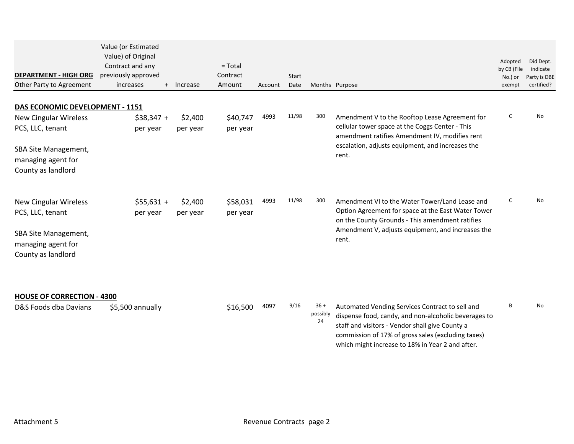| <b>DEPARTMENT - HIGH ORG</b><br>Other Party to Agreement                                                                                                       | Value (or Estimated<br>Value) of Original<br>Contract and any<br>previously approved<br>increases | + Increase          | $=$ Total<br>Contract<br>Amount | Account | Start<br>Date |                          | Months Purpose                                                                                                                                                                                                                                                       | Adopted<br>by CB (File<br>No.) or<br>exempt | Did Dept.<br>indicate<br>Party is DBE<br>certified? |
|----------------------------------------------------------------------------------------------------------------------------------------------------------------|---------------------------------------------------------------------------------------------------|---------------------|---------------------------------|---------|---------------|--------------------------|----------------------------------------------------------------------------------------------------------------------------------------------------------------------------------------------------------------------------------------------------------------------|---------------------------------------------|-----------------------------------------------------|
|                                                                                                                                                                |                                                                                                   |                     |                                 |         |               |                          |                                                                                                                                                                                                                                                                      |                                             |                                                     |
| DAS ECONOMIC DEVELOPMENT - 1151<br><b>New Cingular Wireless</b><br>PCS, LLC, tenant<br><b>SBA Site Management,</b><br>managing agent for<br>County as landlord | $$38,347 +$<br>per year                                                                           | \$2,400<br>per year | \$40,747<br>per year            | 4993    | 11/98         | 300                      | Amendment V to the Rooftop Lease Agreement for<br>cellular tower space at the Coggs Center - This<br>amendment ratifies Amendment IV, modifies rent<br>escalation, adjusts equipment, and increases the<br>rent.                                                     | C                                           | <b>No</b>                                           |
| <b>New Cingular Wireless</b><br>PCS, LLC, tenant<br><b>SBA Site Management,</b><br>managing agent for<br>County as landlord                                    | $$55,631 +$<br>per year                                                                           | \$2,400<br>per year | \$58,031<br>per year            | 4993    | 11/98         | 300                      | Amendment VI to the Water Tower/Land Lease and<br>Option Agreement for space at the East Water Tower<br>on the County Grounds - This amendment ratifies<br>Amendment V, adjusts equipment, and increases the<br>rent.                                                | C                                           | N <sub>o</sub>                                      |
| <b>HOUSE OF CORRECTION - 4300</b><br>D&S Foods dba Davians                                                                                                     | \$5,500 annually                                                                                  |                     | \$16,500                        | 4097    | 9/16          | $36 +$<br>possibly<br>24 | Automated Vending Services Contract to sell and<br>dispense food, candy, and non-alcoholic beverages to<br>staff and visitors - Vendor shall give County a<br>commission of 17% of gross sales (excluding taxes)<br>which might increase to 18% in Year 2 and after. | B                                           | N <sub>o</sub>                                      |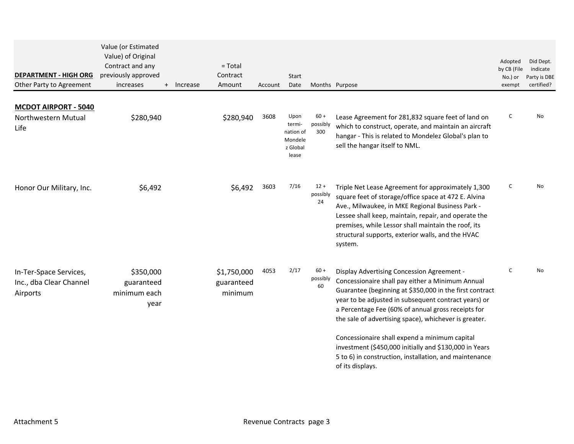| <b>DEPARTMENT - HIGH ORG</b><br>Other Party to Agreement      | Value (or Estimated<br>Value) of Original<br>Contract and any<br>previously approved<br>increases | + Increase | $= Total$<br>Contract<br>Amount      | Account | <b>Start</b><br>Date                                        |                           | Months Purpose                                                                                                                                                                                                                                                                                                                                | Adopted<br>by CB (File<br>No.) or<br>exempt | Did Dept.<br>indicate<br>Party is DBE<br>certified? |
|---------------------------------------------------------------|---------------------------------------------------------------------------------------------------|------------|--------------------------------------|---------|-------------------------------------------------------------|---------------------------|-----------------------------------------------------------------------------------------------------------------------------------------------------------------------------------------------------------------------------------------------------------------------------------------------------------------------------------------------|---------------------------------------------|-----------------------------------------------------|
| <b>MCDOT AIRPORT - 5040</b><br>Northwestern Mutual<br>Life    | \$280,940                                                                                         |            | \$280,940                            | 3608    | Upon<br>termi-<br>nation of<br>Mondele<br>z Global<br>lease | $60 +$<br>possibly<br>300 | Lease Agreement for 281,832 square feet of land on<br>which to construct, operate, and maintain an aircraft<br>hangar - This is related to Mondelez Global's plan to<br>sell the hangar itself to NML.                                                                                                                                        | C                                           | No.                                                 |
| Honor Our Military, Inc.                                      | \$6,492                                                                                           |            | \$6,492                              | 3603    | 7/16                                                        | $12 +$<br>possibly<br>24  | Triple Net Lease Agreement for approximately 1,300<br>square feet of storage/office space at 472 E. Alvina<br>Ave., Milwaukee, in MKE Regional Business Park -<br>Lessee shall keep, maintain, repair, and operate the<br>premises, while Lessor shall maintain the roof, its<br>structural supports, exterior walls, and the HVAC<br>system. | C                                           | No.                                                 |
| In-Ter-Space Services,<br>Inc., dba Clear Channel<br>Airports | \$350,000<br>guaranteed<br>minimum each<br>year                                                   |            | \$1,750,000<br>guaranteed<br>minimum | 4053    | 2/17                                                        | $60 +$<br>possibly<br>60  | Display Advertising Concession Agreement -<br>Concessionaire shall pay either a Minimum Annual<br>Guarantee (beginning at \$350,000 in the first contract<br>year to be adjusted in subsequent contract years) or<br>a Percentage Fee (60% of annual gross receipts for<br>the sale of advertising space), whichever is greater.              | C                                           | No                                                  |
|                                                               |                                                                                                   |            |                                      |         |                                                             |                           | Concessionaire shall expend a minimum capital<br>investment (\$450,000 initially and \$130,000 in Years<br>5 to 6) in construction, installation, and maintenance<br>of its displays.                                                                                                                                                         |                                             |                                                     |